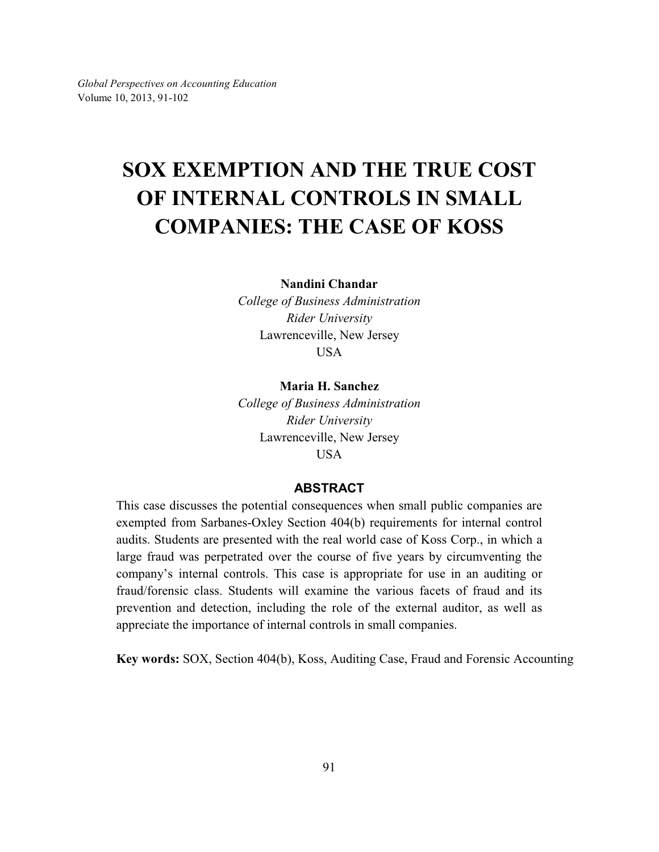# **SOX EXEMPTION AND THE TRUE COST OF INTERNAL CONTROLS IN SMALL COMPANIES: THE CASE OF KOSS**

**Nandini Chandar**

*College of Business Administration Rider University* Lawrenceville, New Jersey USA

#### **Maria H. Sanchez**

*College of Business Administration Rider University* Lawrenceville, New Jersey USA

#### **ABSTRACT**

This case discusses the potential consequences when small public companies are exempted from Sarbanes-Oxley Section 404(b) requirements for internal control audits. Students are presented with the real world case of Koss Corp., in which a large fraud was perpetrated over the course of five years by circumventing the company's internal controls. This case is appropriate for use in an auditing or fraud/forensic class. Students will examine the various facets of fraud and its prevention and detection, including the role of the external auditor, as well as appreciate the importance of internal controls in small companies.

**Key words:** SOX, Section 404(b), Koss, Auditing Case, Fraud and Forensic Accounting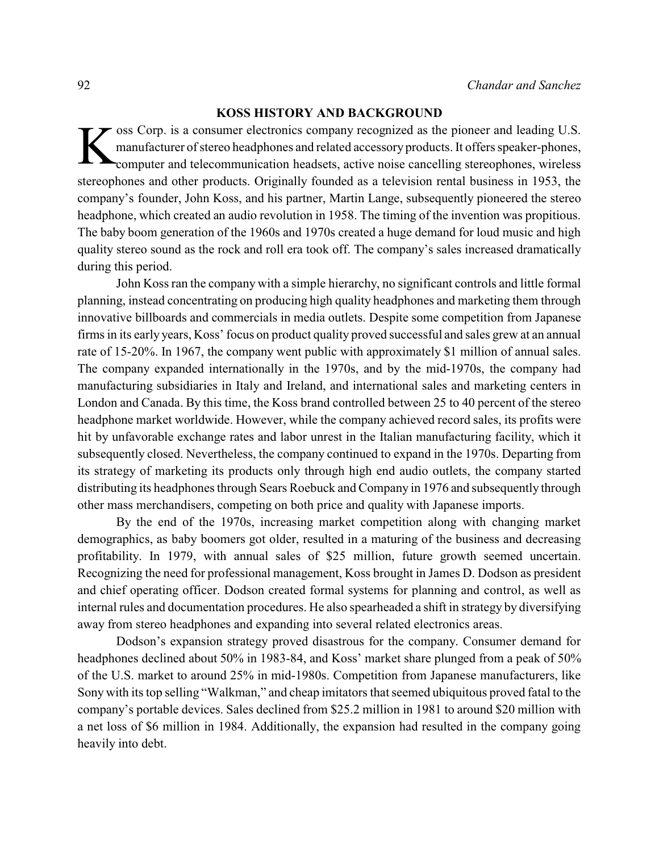### **KOSS HISTORY AND BACKGROUND**

K oss Corp. is a consumer electronics company recognized as the pioneer and leading U.S. manufacturer of stereo headphones and related accessory products. It offers speaker-phones, computer and telecommunication headsets, active noise cancelling stereophones, wireless stereophones and other products. Originally founded as a television rental business in 1953, the company's founder, John Koss, and his partner, Martin Lange, subsequently pioneered the stereo headphone, which created an audio revolution in 1958. The timing of the invention was propitious. The baby boom generation of the 1960s and 1970s created a huge demand for loud music and high quality stereo sound as the rock and roll era took off. The company's sales increased dramatically during this period.

John Koss ran the company with a simple hierarchy, no significant controls and little formal planning, instead concentrating on producing high quality headphones and marketing them through innovative billboards and commercials in media outlets. Despite some competition from Japanese firms in its early years, Koss' focus on product quality proved successful and sales grew at an annual rate of 15-20%. In 1967, the company went public with approximately \$1 million of annual sales. The company expanded internationally in the 1970s, and by the mid-1970s, the company had manufacturing subsidiaries in Italy and Ireland, and international sales and marketing centers in London and Canada. By this time, the Koss brand controlled between 25 to 40 percent of the stereo headphone market worldwide. However, while the company achieved record sales, its profits were hit by unfavorable exchange rates and labor unrest in the Italian manufacturing facility, which it subsequently closed. Nevertheless, the company continued to expand in the 1970s. Departing from its strategy of marketing its products only through high end audio outlets, the company started distributing its headphones through Sears Roebuck and Company in 1976 and subsequently through other mass merchandisers, competing on both price and quality with Japanese imports.

By the end of the 1970s, increasing market competition along with changing market demographics, as baby boomers got older, resulted in a maturing of the business and decreasing profitability. In 1979, with annual sales of \$25 million, future growth seemed uncertain. Recognizing the need for professional management, Koss brought in James D. Dodson as president and chief operating officer. Dodson created formal systems for planning and control, as well as internal rules and documentation procedures. He also spearheaded a shift in strategy by diversifying away from stereo headphones and expanding into several related electronics areas.

Dodson's expansion strategy proved disastrous for the company. Consumer demand for headphones declined about 50% in 1983-84, and Koss' market share plunged from a peak of 50% of the U.S. market to around 25% in mid-1980s. Competition from Japanese manufacturers, like Sony with its top selling "Walkman," and cheap imitators that seemed ubiquitous proved fatal to the company's portable devices. Sales declined from \$25.2 million in 1981 to around \$20 million with a net loss of \$6 million in 1984. Additionally, the expansion had resulted in the company going heavily into debt.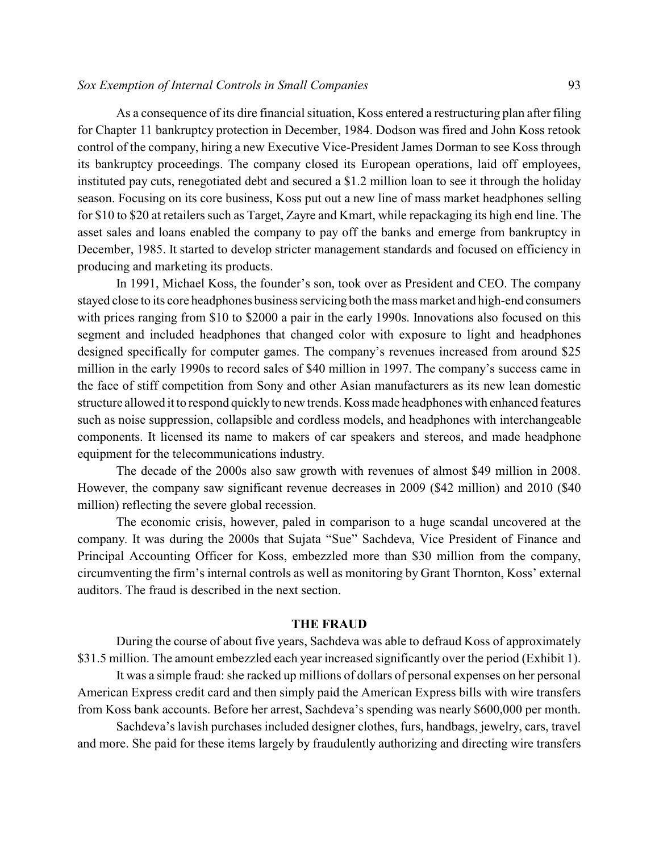#### *Sox Exemption of Internal Controls in Small Companies* 93

As a consequence of its dire financial situation, Koss entered a restructuring plan after filing for Chapter 11 bankruptcy protection in December, 1984. Dodson was fired and John Koss retook control of the company, hiring a new Executive Vice-President James Dorman to see Koss through its bankruptcy proceedings. The company closed its European operations, laid off employees, instituted pay cuts, renegotiated debt and secured a \$1.2 million loan to see it through the holiday season. Focusing on its core business, Koss put out a new line of mass market headphones selling for \$10 to \$20 at retailers such as Target, Zayre and Kmart, while repackaging its high end line. The asset sales and loans enabled the company to pay off the banks and emerge from bankruptcy in December, 1985. It started to develop stricter management standards and focused on efficiency in producing and marketing its products.

In 1991, Michael Koss, the founder's son, took over as President and CEO. The company stayed close to its core headphones business servicing both the mass market and high-end consumers with prices ranging from \$10 to \$2000 a pair in the early 1990s. Innovations also focused on this segment and included headphones that changed color with exposure to light and headphones designed specifically for computer games. The company's revenues increased from around \$25 million in the early 1990s to record sales of \$40 million in 1997. The company's success came in the face of stiff competition from Sony and other Asian manufacturers as its new lean domestic structure allowed it to respond quickly to new trends. Koss made headphones with enhanced features such as noise suppression, collapsible and cordless models, and headphones with interchangeable components. It licensed its name to makers of car speakers and stereos, and made headphone equipment for the telecommunications industry.

The decade of the 2000s also saw growth with revenues of almost \$49 million in 2008. However, the company saw significant revenue decreases in 2009 (\$42 million) and 2010 (\$40 million) reflecting the severe global recession.

The economic crisis, however, paled in comparison to a huge scandal uncovered at the company. It was during the 2000s that Sujata "Sue" Sachdeva, Vice President of Finance and Principal Accounting Officer for Koss, embezzled more than \$30 million from the company, circumventing the firm's internal controls as well as monitoring by Grant Thornton, Koss' external auditors. The fraud is described in the next section.

#### **THE FRAUD**

During the course of about five years, Sachdeva was able to defraud Koss of approximately \$31.5 million. The amount embezzled each year increased significantly over the period (Exhibit 1).

It was a simple fraud: she racked up millions of dollars of personal expenses on her personal American Express credit card and then simply paid the American Express bills with wire transfers from Koss bank accounts. Before her arrest, Sachdeva's spending was nearly \$600,000 per month.

Sachdeva's lavish purchases included designer clothes, furs, handbags, jewelry, cars, travel and more. She paid for these items largely by fraudulently authorizing and directing wire transfers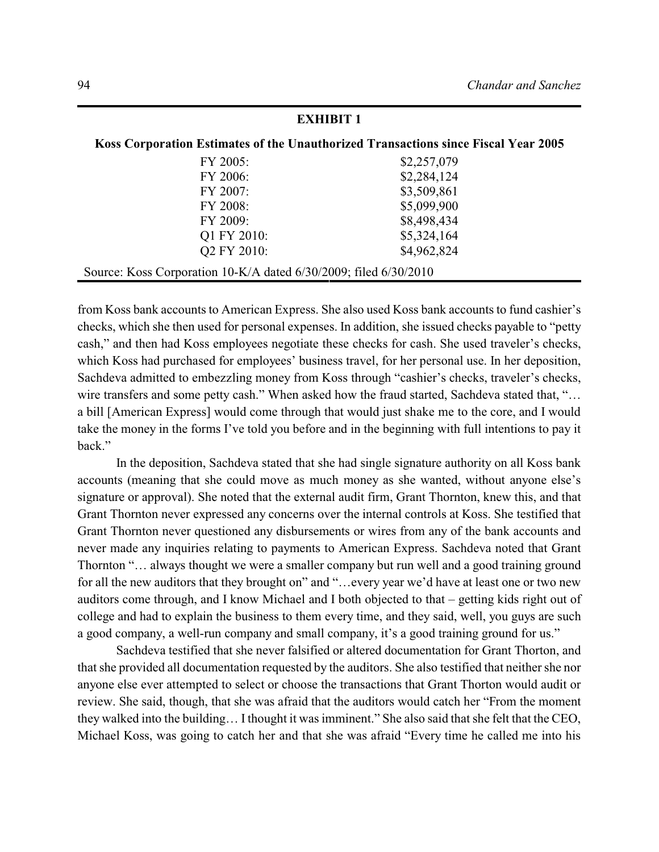| елпірі і і                                                       |                                                                                    |  |  |
|------------------------------------------------------------------|------------------------------------------------------------------------------------|--|--|
|                                                                  | Koss Corporation Estimates of the Unauthorized Transactions since Fiscal Year 2005 |  |  |
| FY 2005:                                                         | \$2,257,079                                                                        |  |  |
| FY 2006:                                                         | \$2,284,124                                                                        |  |  |
| FY 2007:                                                         | \$3,509,861                                                                        |  |  |
| FY 2008:                                                         | \$5,099,900                                                                        |  |  |
| FY 2009:                                                         | \$8,498,434                                                                        |  |  |
| Q1 FY 2010:                                                      | \$5,324,164                                                                        |  |  |
| Q2 FY 2010:                                                      | \$4,962,824                                                                        |  |  |
| Source: Koss Corporation 10-K/A dated 6/30/2009; filed 6/30/2010 |                                                                                    |  |  |

from Koss bank accounts to American Express. She also used Koss bank accounts to fund cashier's checks, which she then used for personal expenses. In addition, she issued checks payable to "petty cash," and then had Koss employees negotiate these checks for cash. She used traveler's checks, which Koss had purchased for employees' business travel, for her personal use. In her deposition, Sachdeva admitted to embezzling money from Koss through "cashier's checks, traveler's checks, wire transfers and some petty cash." When asked how the fraud started, Sachdeva stated that, "... a bill [American Express] would come through that would just shake me to the core, and I would take the money in the forms I've told you before and in the beginning with full intentions to pay it back."

In the deposition, Sachdeva stated that she had single signature authority on all Koss bank accounts (meaning that she could move as much money as she wanted, without anyone else's signature or approval). She noted that the external audit firm, Grant Thornton, knew this, and that Grant Thornton never expressed any concerns over the internal controls at Koss. She testified that Grant Thornton never questioned any disbursements or wires from any of the bank accounts and never made any inquiries relating to payments to American Express. Sachdeva noted that Grant Thornton "… always thought we were a smaller company but run well and a good training ground for all the new auditors that they brought on" and "...every year we'd have at least one or two new auditors come through, and I know Michael and I both objected to that – getting kids right out of college and had to explain the business to them every time, and they said, well, you guys are such a good company, a well-run company and small company, it's a good training ground for us."

Sachdeva testified that she never falsified or altered documentation for Grant Thorton, and that she provided all documentation requested by the auditors. She also testified that neither she nor anyone else ever attempted to select or choose the transactions that Grant Thorton would audit or review. She said, though, that she was afraid that the auditors would catch her "From the moment they walked into the building… I thought it was imminent." She also said that she felt that the CEO, Michael Koss, was going to catch her and that she was afraid "Every time he called me into his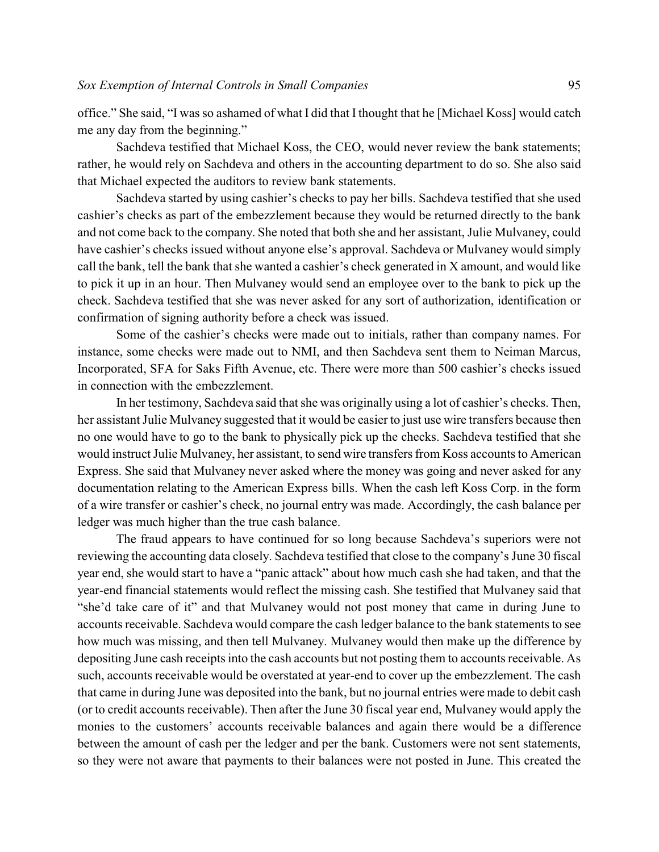office." She said, "I was so ashamed of what I did that I thought that he [Michael Koss] would catch me any day from the beginning."

Sachdeva testified that Michael Koss, the CEO, would never review the bank statements; rather, he would rely on Sachdeva and others in the accounting department to do so. She also said that Michael expected the auditors to review bank statements.

Sachdeva started by using cashier's checks to pay her bills. Sachdeva testified that she used cashier's checks as part of the embezzlement because they would be returned directly to the bank and not come back to the company. She noted that both she and her assistant, Julie Mulvaney, could have cashier's checks issued without anyone else's approval. Sachdeva or Mulvaney would simply call the bank, tell the bank that she wanted a cashier's check generated in X amount, and would like to pick it up in an hour. Then Mulvaney would send an employee over to the bank to pick up the check. Sachdeva testified that she was never asked for any sort of authorization, identification or confirmation of signing authority before a check was issued.

Some of the cashier's checks were made out to initials, rather than company names. For instance, some checks were made out to NMI, and then Sachdeva sent them to Neiman Marcus, Incorporated, SFA for Saks Fifth Avenue, etc. There were more than 500 cashier's checks issued in connection with the embezzlement.

In her testimony, Sachdeva said that she was originally using a lot of cashier's checks. Then, her assistant Julie Mulvaney suggested that it would be easier to just use wire transfers because then no one would have to go to the bank to physically pick up the checks. Sachdeva testified that she would instruct Julie Mulvaney, her assistant, to send wire transfers from Koss accounts to American Express. She said that Mulvaney never asked where the money was going and never asked for any documentation relating to the American Express bills. When the cash left Koss Corp. in the form of a wire transfer or cashier's check, no journal entry was made. Accordingly, the cash balance per ledger was much higher than the true cash balance.

The fraud appears to have continued for so long because Sachdeva's superiors were not reviewing the accounting data closely. Sachdeva testified that close to the company's June 30 fiscal year end, she would start to have a "panic attack" about how much cash she had taken, and that the year-end financial statements would reflect the missing cash. She testified that Mulvaney said that "she'd take care of it" and that Mulvaney would not post money that came in during June to accounts receivable. Sachdeva would compare the cash ledger balance to the bank statements to see how much was missing, and then tell Mulvaney. Mulvaney would then make up the difference by depositing June cash receipts into the cash accounts but not posting them to accounts receivable. As such, accounts receivable would be overstated at year-end to cover up the embezzlement. The cash that came in during June was deposited into the bank, but no journal entries were made to debit cash (or to credit accounts receivable). Then after the June 30 fiscal year end, Mulvaney would apply the monies to the customers' accounts receivable balances and again there would be a difference between the amount of cash per the ledger and per the bank. Customers were not sent statements, so they were not aware that payments to their balances were not posted in June. This created the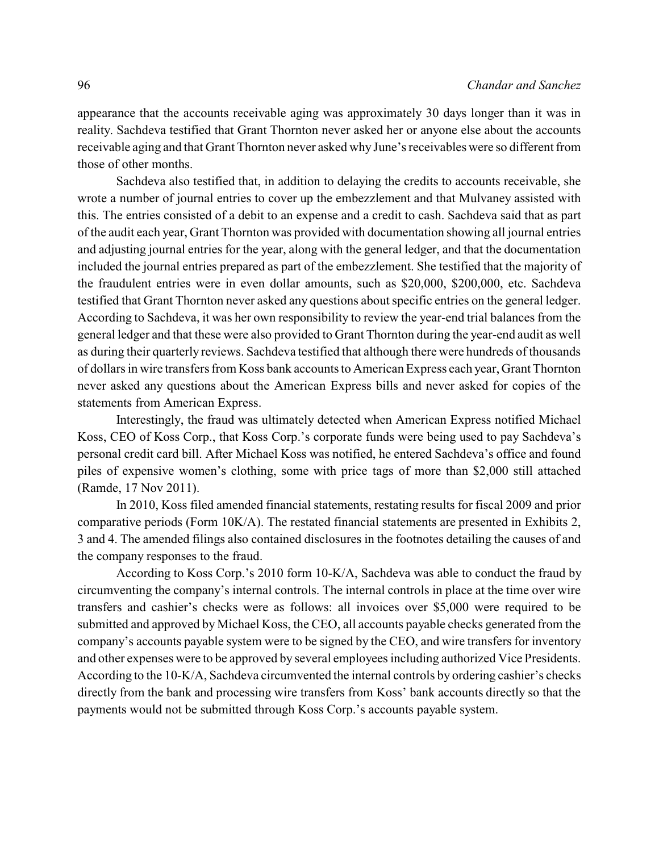appearance that the accounts receivable aging was approximately 30 days longer than it was in reality. Sachdeva testified that Grant Thornton never asked her or anyone else about the accounts receivable aging and that Grant Thornton never asked why June's receivables were so different from those of other months.

Sachdeva also testified that, in addition to delaying the credits to accounts receivable, she wrote a number of journal entries to cover up the embezzlement and that Mulvaney assisted with this. The entries consisted of a debit to an expense and a credit to cash. Sachdeva said that as part of the audit each year, Grant Thornton was provided with documentation showing all journal entries and adjusting journal entries for the year, along with the general ledger, and that the documentation included the journal entries prepared as part of the embezzlement. She testified that the majority of the fraudulent entries were in even dollar amounts, such as \$20,000, \$200,000, etc. Sachdeva testified that Grant Thornton never asked any questions about specific entries on the general ledger. According to Sachdeva, it was her own responsibility to review the year-end trial balances from the general ledger and that these were also provided to Grant Thornton during the year-end audit as well as during their quarterly reviews. Sachdeva testified that although there were hundreds of thousands of dollars in wire transfers from Koss bank accounts to American Express each year, Grant Thornton never asked any questions about the American Express bills and never asked for copies of the statements from American Express.

Interestingly, the fraud was ultimately detected when American Express notified Michael Koss, CEO of Koss Corp., that Koss Corp.'s corporate funds were being used to pay Sachdeva's personal credit card bill. After Michael Koss was notified, he entered Sachdeva's office and found piles of expensive women's clothing, some with price tags of more than \$2,000 still attached (Ramde, 17 Nov 2011).

In 2010, Koss filed amended financial statements, restating results for fiscal 2009 and prior comparative periods (Form 10K/A). The restated financial statements are presented in Exhibits 2, 3 and 4. The amended filings also contained disclosures in the footnotes detailing the causes of and the company responses to the fraud.

According to Koss Corp.'s 2010 form 10-K/A, Sachdeva was able to conduct the fraud by circumventing the company's internal controls. The internal controls in place at the time over wire transfers and cashier's checks were as follows: all invoices over \$5,000 were required to be submitted and approved by Michael Koss, the CEO, all accounts payable checks generated from the company's accounts payable system were to be signed by the CEO, and wire transfers for inventory and other expenses were to be approved by several employees including authorized Vice Presidents. According to the 10-K/A, Sachdeva circumvented the internal controls by ordering cashier's checks directly from the bank and processing wire transfers from Koss' bank accounts directly so that the payments would not be submitted through Koss Corp.'s accounts payable system.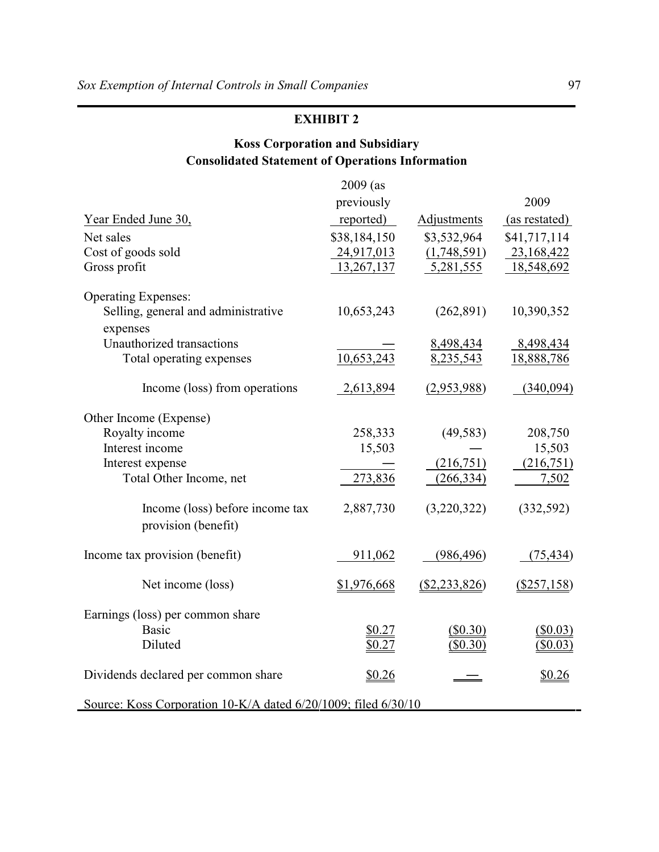# **Koss Corporation and Subsidiary Consolidated Statement of Operations Information**

|                                                                | $2009$ (as   |               |                      |  |
|----------------------------------------------------------------|--------------|---------------|----------------------|--|
|                                                                | previously   |               | 2009                 |  |
| Year Ended June 30,                                            | reported)    | Adjustments   | (as restated)        |  |
| Net sales                                                      | \$38,184,150 | \$3,532,964   | \$41,717,114         |  |
| Cost of goods sold                                             | 24,917,013   | (1,748,591)   | 23,168,422           |  |
| Gross profit                                                   | 13,267,137   | 5,281,555     | 18,548,692           |  |
|                                                                |              |               |                      |  |
| <b>Operating Expenses:</b>                                     |              |               |                      |  |
| Selling, general and administrative                            | 10,653,243   | (262, 891)    | 10,390,352           |  |
| expenses                                                       |              |               |                      |  |
| Unauthorized transactions                                      |              | 8,498,434     | 8,498,434            |  |
| Total operating expenses                                       | 10,653,243   | 8,235,543     | 18,888,786           |  |
| Income (loss) from operations                                  | 2,613,894    | (2,953,988)   | (340,094)            |  |
|                                                                |              |               |                      |  |
| Other Income (Expense)                                         |              |               |                      |  |
| Royalty income                                                 | 258,333      | (49, 583)     | 208,750              |  |
| Interest income                                                | 15,503       |               | 15,503               |  |
| Interest expense                                               |              | (216,751)     | (216,751)            |  |
| Total Other Income, net                                        | 273,836      | (266, 334)    | 7,502                |  |
| Income (loss) before income tax                                | 2,887,730    | (3,220,322)   | (332, 592)           |  |
| provision (benefit)                                            |              |               |                      |  |
|                                                                |              |               |                      |  |
| Income tax provision (benefit)                                 | 911,062      | (986, 496)    | (75, 434)            |  |
|                                                                |              |               |                      |  |
| Net income (loss)                                              | \$1,976,668  | (\$2,233,826) | $(\frac{$257,158}{)$ |  |
| Earnings (loss) per common share                               |              |               |                      |  |
| <b>Basic</b>                                                   | \$0.27       | $($ \$0.30)   | $($ \$0.03)          |  |
| Diluted                                                        | \$0.27       | $($ \$0.30)   | $($ \$0.03)          |  |
|                                                                |              |               |                      |  |
| Dividends declared per common share                            | \$0.26       |               | \$0.26               |  |
|                                                                |              |               |                      |  |
| Source: Koss Corporation 10-K/A dated 6/20/1009; filed 6/30/10 |              |               |                      |  |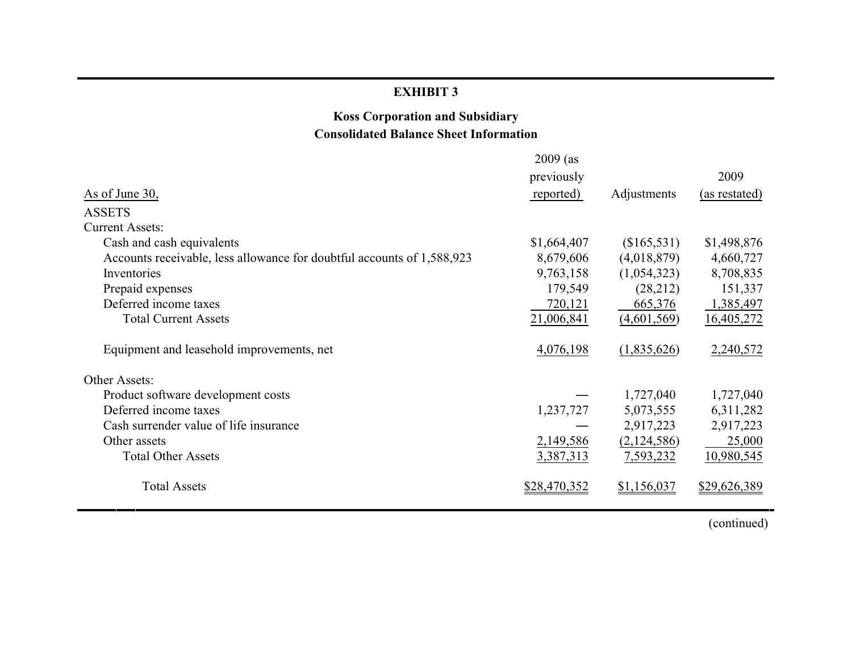## **Koss Corporation and Subsidiary Consolidated Balance Sheet Information**

|                                                                        | $2009$ (as   |             |               |
|------------------------------------------------------------------------|--------------|-------------|---------------|
|                                                                        | previously   |             | 2009          |
| As of June 30,                                                         | reported)    | Adjustments | (as restated) |
| <b>ASSETS</b>                                                          |              |             |               |
| <b>Current Assets:</b>                                                 |              |             |               |
| Cash and cash equivalents                                              | \$1,664,407  | (\$165,531) | \$1,498,876   |
| Accounts receivable, less allowance for doubtful accounts of 1,588,923 | 8,679,606    | (4,018,879) | 4,660,727     |
| Inventories                                                            | 9,763,158    | (1,054,323) | 8,708,835     |
| Prepaid expenses                                                       | 179,549      | (28,212)    | 151,337       |
| Deferred income taxes                                                  | 720,121      | 665,376     | 1,385,497     |
| <b>Total Current Assets</b>                                            | 21,006,841   | (4,601,569) | 16,405,272    |
| Equipment and leasehold improvements, net                              | 4,076,198    | (1,835,626) | 2,240,572     |
| Other Assets:                                                          |              |             |               |
| Product software development costs                                     |              | 1,727,040   | 1,727,040     |
| Deferred income taxes                                                  | 1,237,727    | 5,073,555   | 6,311,282     |
| Cash surrender value of life insurance                                 |              | 2,917,223   | 2,917,223     |
| Other assets                                                           | 2,149,586    | (2,124,586) | 25,000        |
| <b>Total Other Assets</b>                                              | 3,387,313    | 7,593,232   | 10,980,545    |
| <b>Total Assets</b>                                                    | \$28,470,352 | \$1,156,037 | \$29,626,389  |

(continued)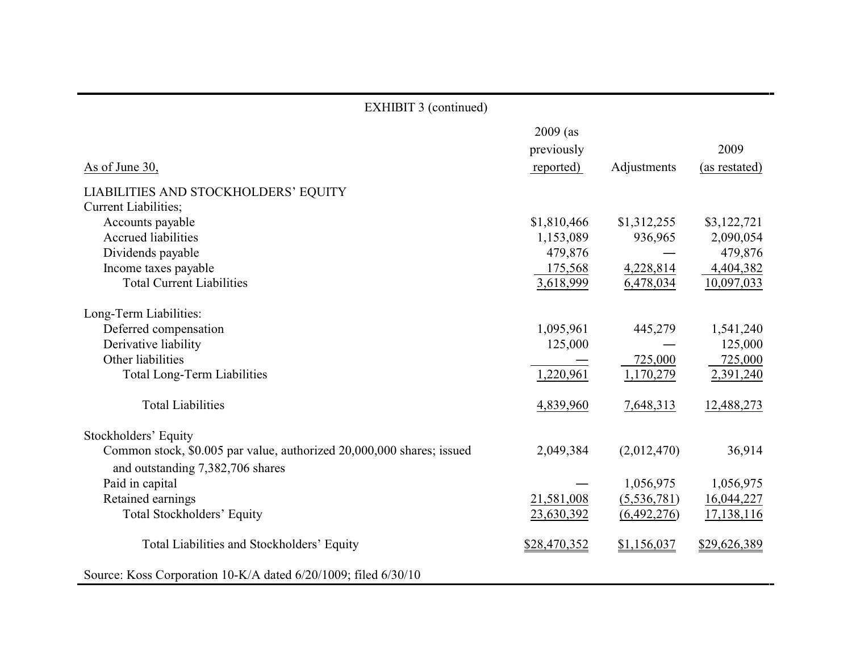| <b>EXHIBIT 3 (continued)</b>                                          |                                       |             |                       |  |
|-----------------------------------------------------------------------|---------------------------------------|-------------|-----------------------|--|
| As of June 30,                                                        | $2009$ (as<br>previously<br>reported) | Adjustments | 2009<br>(as restated) |  |
| LIABILITIES AND STOCKHOLDERS' EQUITY                                  |                                       |             |                       |  |
| Current Liabilities;                                                  |                                       |             |                       |  |
| Accounts payable                                                      | \$1,810,466                           | \$1,312,255 | \$3,122,721           |  |
| <b>Accrued liabilities</b>                                            | 1,153,089                             | 936,965     | 2,090,054             |  |
| Dividends payable                                                     | 479,876                               |             | 479,876               |  |
| Income taxes payable                                                  | 175,568                               | 4,228,814   | 4,404,382             |  |
| <b>Total Current Liabilities</b>                                      | 3,618,999                             | 6,478,034   | 10,097,033            |  |
| Long-Term Liabilities:                                                |                                       |             |                       |  |
| Deferred compensation                                                 | 1,095,961                             | 445,279     | 1,541,240             |  |
| Derivative liability                                                  | 125,000                               |             | 125,000               |  |
| Other liabilities                                                     |                                       | 725,000     | 725,000               |  |
| <b>Total Long-Term Liabilities</b>                                    | 1,220,961                             | 1,170,279   | 2,391,240             |  |
| <b>Total Liabilities</b>                                              | 4,839,960                             | 7,648,313   | 12,488,273            |  |
| Stockholders' Equity                                                  |                                       |             |                       |  |
| Common stock, \$0.005 par value, authorized 20,000,000 shares; issued | 2,049,384                             | (2,012,470) | 36,914                |  |
| and outstanding 7,382,706 shares                                      |                                       |             |                       |  |
| Paid in capital                                                       |                                       | 1,056,975   | 1,056,975             |  |
| Retained earnings                                                     | 21,581,008                            | (5,536,781) | 16,044,227            |  |
| <b>Total Stockholders' Equity</b>                                     | 23,630,392                            | (6,492,276) | 17,138,116            |  |
| Total Liabilities and Stockholders' Equity                            | \$28,470,352                          | \$1,156,037 | \$29,626,389          |  |
| Source: Koss Corporation 10-K/A dated 6/20/1009; filed 6/30/10        |                                       |             |                       |  |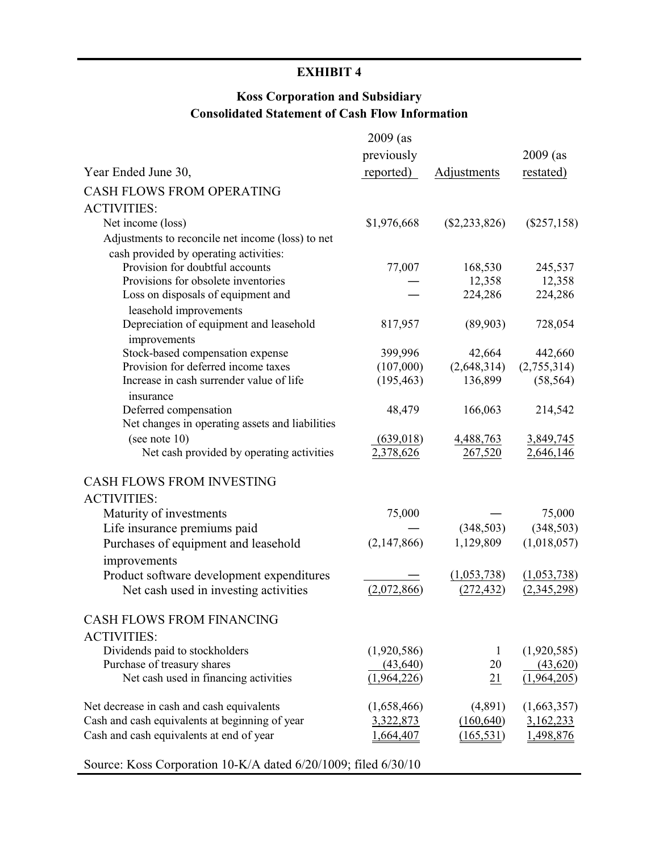# **Koss Corporation and Subsidiary Consolidated Statement of Cash Flow Information**

|                                                                      | $2009$ (as  |                 |               |
|----------------------------------------------------------------------|-------------|-----------------|---------------|
|                                                                      | previously  |                 | $2009$ (as    |
| Year Ended June 30,                                                  | reported)   | Adjustments     | restated)     |
| <b>CASH FLOWS FROM OPERATING</b>                                     |             |                 |               |
| <b>ACTIVITIES:</b>                                                   |             |                 |               |
| Net income (loss)                                                    | \$1,976,668 | $(\$2,233,826)$ | $(\$257,158)$ |
| Adjustments to reconcile net income (loss) to net                    |             |                 |               |
| cash provided by operating activities:                               |             |                 |               |
| Provision for doubtful accounts                                      | 77,007      | 168,530         | 245,537       |
| Provisions for obsolete inventories                                  |             | 12,358          | 12,358        |
| Loss on disposals of equipment and                                   |             | 224,286         | 224,286       |
| leasehold improvements                                               |             |                 |               |
| Depreciation of equipment and leasehold                              | 817,957     | (89,903)        | 728,054       |
| improvements                                                         |             |                 |               |
| Stock-based compensation expense                                     | 399,996     | 42,664          | 442,660       |
| Provision for deferred income taxes                                  | (107,000)   | (2,648,314)     | (2,755,314)   |
| Increase in cash surrender value of life                             | (195, 463)  | 136,899         | (58, 564)     |
| insurance                                                            |             |                 |               |
| Deferred compensation                                                | 48,479      | 166,063         | 214,542       |
| Net changes in operating assets and liabilities                      |             |                 |               |
| (see note $10$ )                                                     | (639, 018)  | 4,488,763       | 3,849,745     |
| Net cash provided by operating activities                            | 2,378,626   | 267,520         | 2,646,146     |
| <b>CASH FLOWS FROM INVESTING</b>                                     |             |                 |               |
| <b>ACTIVITIES:</b>                                                   |             |                 |               |
| Maturity of investments                                              | 75,000      |                 | 75,000        |
|                                                                      |             | (348, 503)      | (348, 503)    |
| Life insurance premiums paid<br>Purchases of equipment and leasehold | (2,147,866) | 1,129,809       | (1,018,057)   |
|                                                                      |             |                 |               |
| improvements                                                         |             |                 |               |
| Product software development expenditures                            |             | (1,053,738)     | (1,053,738)   |
| Net cash used in investing activities                                | (2,072,866) | (272, 432)      | (2,345,298)   |
| <b>CASH FLOWS FROM FINANCING</b>                                     |             |                 |               |
| <b>ACTIVITIES:</b>                                                   |             |                 |               |
| Dividends paid to stockholders                                       | (1,920,586) | $\perp$         | (1,920,585)   |
| Purchase of treasury shares                                          | (43, 640)   | 20              | (43,620)      |
| Net cash used in financing activities                                | (1,964,226) | 21              | (1,964,205)   |
|                                                                      |             |                 |               |
| Net decrease in cash and cash equivalents                            | (1,658,466) | (4,891)         | (1,663,357)   |
| Cash and cash equivalents at beginning of year                       | 3,322,873   | (160, 640)      | 3,162,233     |
| Cash and cash equivalents at end of year                             | ,664,407    | (165, 531)      | 1,498,876     |
|                                                                      |             |                 |               |
| Source: Koss Corporation 10-K/A dated 6/20/1009; filed 6/30/10       |             |                 |               |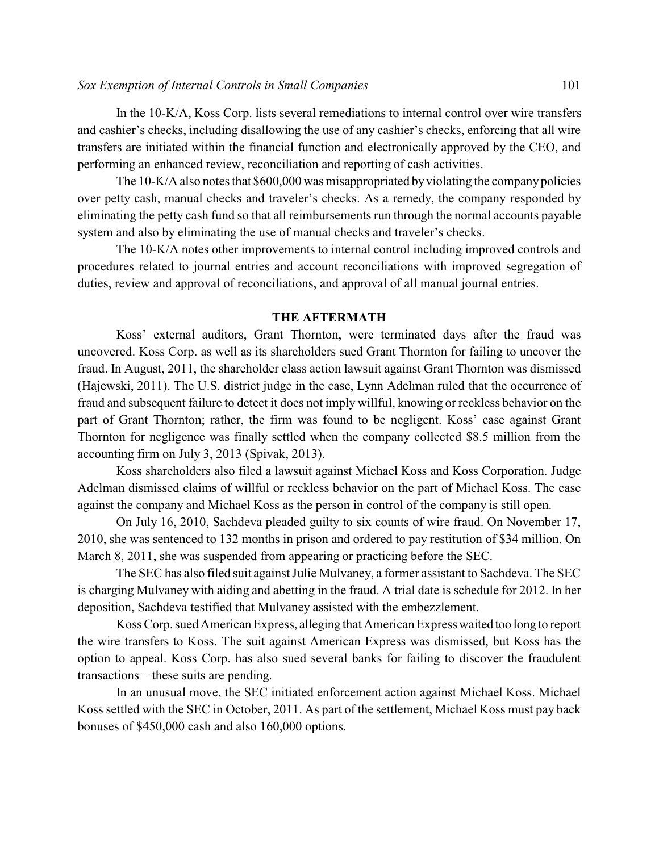#### *Sox Exemption of Internal Controls in Small Companies* 101

In the 10-K/A, Koss Corp. lists several remediations to internal control over wire transfers and cashier's checks, including disallowing the use of any cashier's checks, enforcing that all wire transfers are initiated within the financial function and electronically approved by the CEO, and performing an enhanced review, reconciliation and reporting of cash activities.

The 10-K/A also notes that \$600,000 was misappropriated by violating the company policies over petty cash, manual checks and traveler's checks. As a remedy, the company responded by eliminating the petty cash fund so that all reimbursements run through the normal accounts payable system and also by eliminating the use of manual checks and traveler's checks.

The 10-K/A notes other improvements to internal control including improved controls and procedures related to journal entries and account reconciliations with improved segregation of duties, review and approval of reconciliations, and approval of all manual journal entries.

#### **THE AFTERMATH**

Koss' external auditors, Grant Thornton, were terminated days after the fraud was uncovered. Koss Corp. as well as its shareholders sued Grant Thornton for failing to uncover the fraud. In August, 2011, the shareholder class action lawsuit against Grant Thornton was dismissed (Hajewski, 2011). The U.S. district judge in the case, Lynn Adelman ruled that the occurrence of fraud and subsequent failure to detect it does not imply willful, knowing or reckless behavior on the part of Grant Thornton; rather, the firm was found to be negligent. Koss' case against Grant Thornton for negligence was finally settled when the company collected \$8.5 million from the accounting firm on July 3, 2013 (Spivak, 2013).

Koss shareholders also filed a lawsuit against Michael Koss and Koss Corporation. Judge Adelman dismissed claims of willful or reckless behavior on the part of Michael Koss. The case against the company and Michael Koss as the person in control of the company is still open.

On July 16, 2010, Sachdeva pleaded guilty to six counts of wire fraud. On November 17, 2010, she was sentenced to 132 months in prison and ordered to pay restitution of \$34 million. On March 8, 2011, she was suspended from appearing or practicing before the SEC.

The SEC has also filed suit against Julie Mulvaney, a former assistant to Sachdeva. The SEC is charging Mulvaney with aiding and abetting in the fraud. A trial date is schedule for 2012. In her deposition, Sachdeva testified that Mulvaney assisted with the embezzlement.

Koss Corp. sued American Express, alleging that American Express waited too long to report the wire transfers to Koss. The suit against American Express was dismissed, but Koss has the option to appeal. Koss Corp. has also sued several banks for failing to discover the fraudulent transactions – these suits are pending.

In an unusual move, the SEC initiated enforcement action against Michael Koss. Michael Koss settled with the SEC in October, 2011. As part of the settlement, Michael Koss must pay back bonuses of \$450,000 cash and also 160,000 options.